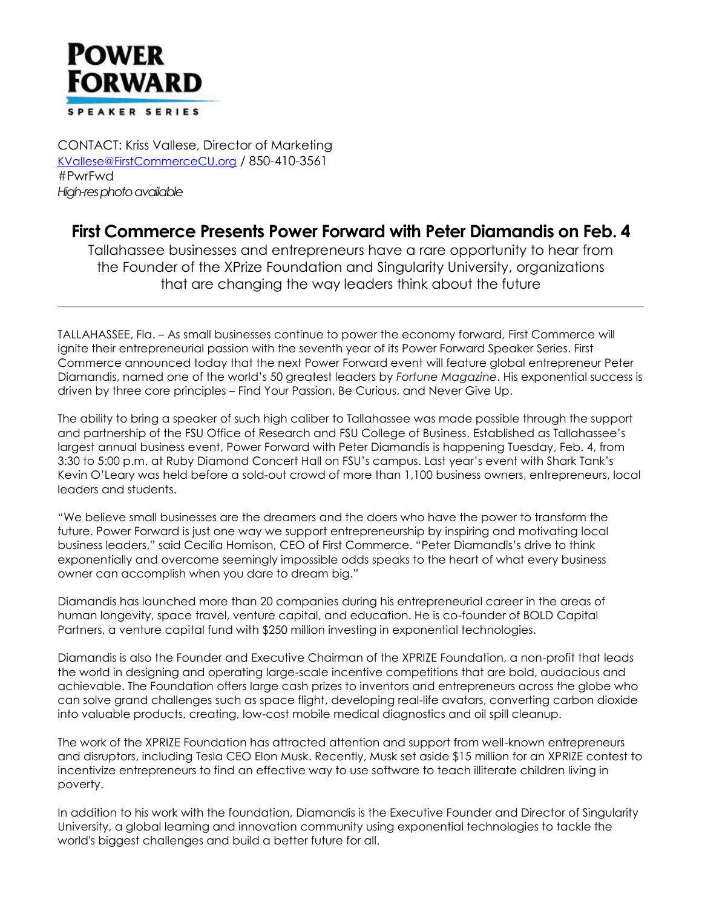

CONTACT: Kriss Vallese, Director of Marketing [KVallese@FirstCommerceCU.org](mailto:KVallese@FirstCommerceCU.org) / 850-410-3561 #PwrFwd *High-res photo available*

## **First Commerce Presents Power Forward with Peter Diamandis on Feb. 4**

Tallahassee businesses and entrepreneurs have a rare opportunity to hear from the Founder of the XPrize Foundation and Singularity University, organizations that are changing the way leaders think about the future

TALLAHASSEE, Fla. – As small businesses continue to power the economy forward, First Commerce will ignite their entrepreneurial passion with the seventh year of its Power Forward Speaker Series. First Commerce announced today that the next Power Forward event will feature global entrepreneur Peter Diamandis, named one of the world's 50 greatest leaders by *Fortune Magazine*. His exponential success is driven by three core principles – Find Your Passion, Be Curious, and Never Give Up.

The ability to bring a speaker of such high caliber to Tallahassee was made possible through the support and partnership of the FSU Office of Research and FSU College of Business. Established as Tallahassee's largest annual business event, Power Forward with Peter Diamandis is happening Tuesday, Feb. 4, from 3:30 to 5:00 p.m. at Ruby Diamond Concert Hall on FSU's campus. Last year's event with Shark Tank's Kevin O'Leary was held before a sold-out crowd of more than 1,100 business owners, entrepreneurs, local leaders and students.

"We believe small businesses are the dreamers and the doers who have the power to transform the future. Power Forward is just one way we support entrepreneurship by inspiring and motivating local business leaders," said Cecilia Homison, CEO of First Commerce. "Peter Diamandis's drive to think exponentially and overcome seemingly impossible odds speaks to the heart of what every business owner can accomplish when you dare to dream big."

Diamandis has launched more than 20 companies during his entrepreneurial career in the areas of human longevity, space travel, venture capital, and education. He is co-founder of BOLD Capital Partners, a venture capital fund with \$250 million investing in exponential technologies.

Diamandis is also the Founder and Executive Chairman of the XPRIZE Foundation, a non-profit that leads the world in designing and operating large-scale incentive competitions that are bold, audacious and achievable. The Foundation offers large cash prizes to inventors and entrepreneurs across the globe who can solve grand challenges such as space flight, developing real-life avatars, converting carbon dioxide into valuable products, creating, low-cost mobile medical diagnostics and oil spill cleanup.

The work of the XPRIZE Foundation has attracted attention and support from well-known entrepreneurs and disruptors, including Tesla CEO Elon Musk. Recently, Musk set aside \$15 million for an XPRIZE contest to incentivize entrepreneurs to find an effective way to use software to teach illiterate children living in poverty.

In addition to his work with the foundation, Diamandis is the Executive Founder and Director of Singularity University, a global learning and innovation community using exponential technologies to tackle the world's biggest challenges and build a better future for all.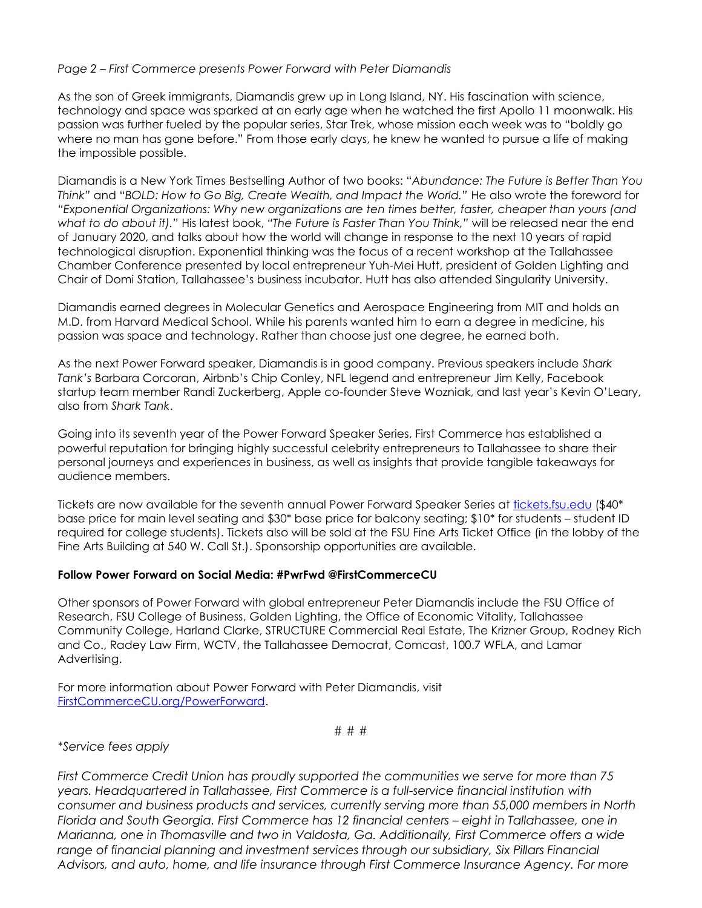## *Page 2 – First Commerce presents Power Forward with Peter Diamandis*

As the son of Greek immigrants, Diamandis grew up in Long Island, NY. His fascination with science, technology and space was sparked at an early age when he watched the first Apollo 11 moonwalk. His passion was further fueled by the popular series, Star Trek, whose mission each week was to "boldly go where no man has gone before." From those early days, he knew he wanted to pursue a life of making the impossible possible.

Diamandis is a New York Times Bestselling Author of two books: "*Abundance: The Future is Better Than You Think"* and "*BOLD: How to Go Big, Create Wealth, and Impact the World."* He also wrote the foreword for *"Exponential Organizations: Why new organizations are ten times better, faster, cheaper than yours (and what to do about it)."* His latest book, *"The Future is Faster Than You Think,"* will be released near the end of January 2020, and talks about how the world will change in response to the next 10 years of rapid technological disruption. Exponential thinking was the focus of a recent workshop at the Tallahassee Chamber Conference presented by local entrepreneur Yuh-Mei Hutt, president of Golden Lighting and Chair of Domi Station, Tallahassee's business incubator. Hutt has also attended Singularity University.

Diamandis earned degrees in Molecular Genetics and Aerospace Engineering from MIT and holds an M.D. from Harvard Medical School. While his parents wanted him to earn a degree in medicine, his passion was space and technology. Rather than choose just one degree, he earned both.

As the next Power Forward speaker, Diamandis is in good company. Previous speakers include *Shark Tank's* Barbara Corcoran, Airbnb's Chip Conley, NFL legend and entrepreneur Jim Kelly, Facebook startup team member Randi Zuckerberg, Apple co-founder Steve Wozniak, and last year's Kevin O'Leary, also from *Shark Tank*.

Going into its seventh year of the Power Forward Speaker Series, First Commerce has established a powerful reputation for bringing highly successful celebrity entrepreneurs to Tallahassee to share their personal journeys and experiences in business, as well as insights that provide tangible takeaways for audience members.

Tickets are now available for the seventh annual Power Forward Speaker Series at [tickets.fsu.edu](http://www.tickets.fsu.edu/) (\$40<sup>\*</sup> base price for main level seating and \$30\* base price for balcony seating; \$10\* for students – student ID required for college students). Tickets also will be sold at the FSU Fine Arts Ticket Office (in the lobby of the Fine Arts Building at 540 W. Call St.). Sponsorship opportunities are available.

## **Follow Power Forward on Social Media: #PwrFwd @FirstCommerceCU**

Other sponsors of Power Forward with global entrepreneur Peter Diamandis include the FSU Office of Research, FSU College of Business, Golden Lighting, the Office of Economic Vitality, Tallahassee Community College, Harland Clarke, STRUCTURE Commercial Real Estate, The Krizner Group, Rodney Rich and Co., Radey Law Firm, WCTV, the Tallahassee Democrat, Comcast, 100.7 WFLA, and Lamar Advertising.

For more information about Power Forward with Peter Diamandis, visit [FirstCommerceCU.org/PowerForward.](http://www.firstcommercecu.org/powerforward)

# # #

*\*Service fees apply*

*First Commerce Credit Union has proudly supported the communities we serve for more than 75 years. Headquartered in Tallahassee, First Commerce is a full-service financial institution with consumer and business products and services, currently serving more than 55,000 members in North Florida and South Georgia. First Commerce has 12 financial centers – eight in Tallahassee, one in Marianna, one in Thomasville and two in Valdosta, Ga. Additionally, First Commerce offers a wide*  range of financial planning and investment services through our subsidiary, Six Pillars Financial *Advisors, and auto, home, and life insurance through First Commerce Insurance Agency. For more*